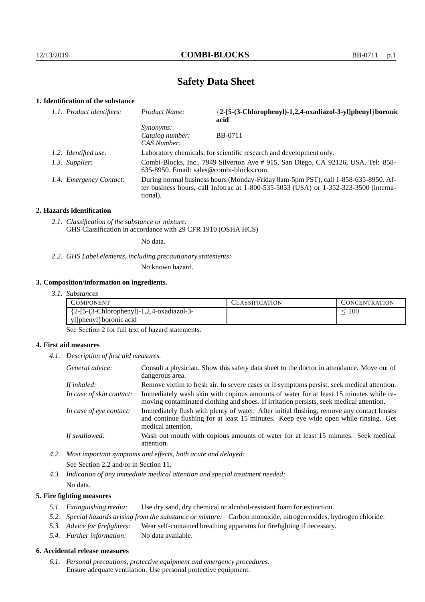# **Safety Data Sheet**

## **1. Identification of the substance**

| 1.1. Product identifiers: | Product Name:                                                                                                                                                                           | {2-[5-(3-Chlorophenyl)-1,2,4-oxadiazol-3-yl]phenyl}boronic<br>acid |  |
|---------------------------|-----------------------------------------------------------------------------------------------------------------------------------------------------------------------------------------|--------------------------------------------------------------------|--|
|                           | <i>Synonyms:</i><br>Catalog number:<br>CAS Number:                                                                                                                                      | <b>BB-0711</b>                                                     |  |
| 1.2. Identified use:      | Laboratory chemicals, for scientific research and development only.                                                                                                                     |                                                                    |  |
| 1.3. Supplier:            | Combi-Blocks, Inc., 7949 Silverton Ave # 915, San Diego, CA 92126, USA. Tel: 858-<br>$635-8950$ . Email: sales@combi-blocks.com.                                                        |                                                                    |  |
| 1.4. Emergency Contact:   | During normal business hours (Monday-Friday 8am-5pm PST), call 1-858-635-8950. Af-<br>ter business hours, call Infotrac at 1-800-535-5053 (USA) or 1-352-323-3500 (interna-<br>tional). |                                                                    |  |

#### **2. Hazards identification**

*2.1. Classification of the substance or mixture:* GHS Classification in accordance with 29 CFR 1910 (OSHA HCS)

No data.

*2.2. GHS Label elements, including precautionary statements:*

No known hazard.

#### **3. Composition/information on ingredients.**

*3.1. Substances*

| COMPONENT.                                   | <b>ASSIFICATION</b> | CONCENTRATION |
|----------------------------------------------|---------------------|---------------|
| ${2-[5-(3-Chloropheny)]-1,2,4-oxadiazol-3-}$ |                     | 100           |
| yl]phenyl}boronic acid                       |                     |               |

See Section 2 for full text of hazard statements.

## **4. First aid measures**

*4.1. Description of first aid measures.*

| General advice:          | Consult a physician. Show this safety data sheet to the doctor in attendance. Move out of<br>dangerous area.                                                                                            |
|--------------------------|---------------------------------------------------------------------------------------------------------------------------------------------------------------------------------------------------------|
| If inhaled:              | Remove victim to fresh air. In severe cases or if symptoms persist, seek medical attention.                                                                                                             |
| In case of skin contact: | Immediately wash skin with copious amounts of water for at least 15 minutes while re-<br>moving contaminated clothing and shoes. If irritation persists, seek medical attention.                        |
| In case of eye contact:  | Immediately flush with plenty of water. After initial flushing, remove any contact lenses<br>and continue flushing for at least 15 minutes. Keep eye wide open while rinsing. Get<br>medical attention. |
| If swallowed:            | Wash out mouth with copious amounts of water for at least 15 minutes. Seek medical<br>attention.                                                                                                        |

*4.2. Most important symptoms and effects, both acute and delayed:* See Section 2.2 and/or in Section 11.

*4.3. Indication of any immediate medical attention and special treatment needed:* No data.

### **5. Fire fighting measures**

- *5.1. Extinguishing media:* Use dry sand, dry chemical or alcohol-resistant foam for extinction.
- *5.2. Special hazards arising from the substance or mixture:* Carbon monoxide, nitrogen oxides, hydrogen chloride.
- *5.3. Advice for firefighters:* Wear self-contained breathing apparatus for firefighting if necessary.
- *5.4. Further information:* No data available.

## **6. Accidental release measures**

*6.1. Personal precautions, protective equipment and emergency procedures:* Ensure adequate ventilation. Use personal protective equipment.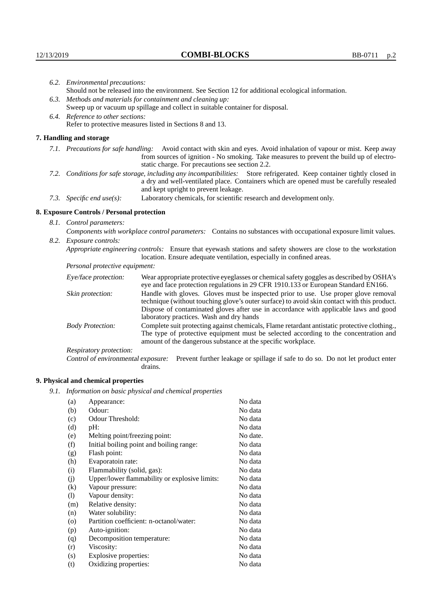|                                                                                | 6.2. Environmental precautions:                                                                                                                                                                                                                            |                                                                                                                                                                                                                                                                    |  |  |  |
|--------------------------------------------------------------------------------|------------------------------------------------------------------------------------------------------------------------------------------------------------------------------------------------------------------------------------------------------------|--------------------------------------------------------------------------------------------------------------------------------------------------------------------------------------------------------------------------------------------------------------------|--|--|--|
|                                                                                | Should not be released into the environment. See Section 12 for additional ecological information.                                                                                                                                                         |                                                                                                                                                                                                                                                                    |  |  |  |
|                                                                                | 6.3. Methods and materials for containment and cleaning up:                                                                                                                                                                                                |                                                                                                                                                                                                                                                                    |  |  |  |
| Sweep up or vacuum up spillage and collect in suitable container for disposal. |                                                                                                                                                                                                                                                            |                                                                                                                                                                                                                                                                    |  |  |  |
|                                                                                | 6.4. Reference to other sections:                                                                                                                                                                                                                          |                                                                                                                                                                                                                                                                    |  |  |  |
|                                                                                | Refer to protective measures listed in Sections 8 and 13.                                                                                                                                                                                                  |                                                                                                                                                                                                                                                                    |  |  |  |
|                                                                                | 7. Handling and storage                                                                                                                                                                                                                                    |                                                                                                                                                                                                                                                                    |  |  |  |
|                                                                                |                                                                                                                                                                                                                                                            | 7.1. Precautions for safe handling: Avoid contact with skin and eyes. Avoid inhalation of vapour or mist. Keep away<br>from sources of ignition - No smoking. Take measures to prevent the build up of electro-<br>static charge. For precautions see section 2.2. |  |  |  |
|                                                                                | 7.2. Conditions for safe storage, including any incompatibilities: Store refrigerated. Keep container tightly closed in<br>a dry and well-ventilated place. Containers which are opened must be carefully resealed<br>and kept upright to prevent leakage. |                                                                                                                                                                                                                                                                    |  |  |  |
|                                                                                | Laboratory chemicals, for scientific research and development only.<br>7.3. Specific end use(s):                                                                                                                                                           |                                                                                                                                                                                                                                                                    |  |  |  |
|                                                                                | 8. Exposure Controls / Personal protection                                                                                                                                                                                                                 |                                                                                                                                                                                                                                                                    |  |  |  |
|                                                                                | 8.1. Control parameters:                                                                                                                                                                                                                                   |                                                                                                                                                                                                                                                                    |  |  |  |
|                                                                                | Components with workplace control parameters: Contains no substances with occupational exposure limit values.                                                                                                                                              |                                                                                                                                                                                                                                                                    |  |  |  |
|                                                                                | 8.2. Exposure controls:                                                                                                                                                                                                                                    |                                                                                                                                                                                                                                                                    |  |  |  |
|                                                                                | Appropriate engineering controls: Ensure that eyewash stations and safety showers are close to the workstation<br>location. Ensure adequate ventilation, especially in confined areas.                                                                     |                                                                                                                                                                                                                                                                    |  |  |  |
|                                                                                | Personal protective equipment:                                                                                                                                                                                                                             |                                                                                                                                                                                                                                                                    |  |  |  |
|                                                                                | Eye/face protection:                                                                                                                                                                                                                                       | Wear appropriate protective eyeglasses or chemical safety goggles as described by OSHA's<br>eye and face protection regulations in 29 CFR 1910.133 or European Standard EN166.                                                                                     |  |  |  |
|                                                                                | Skin protection:                                                                                                                                                                                                                                           | Handle with gloves. Gloves must be inspected prior to use. Use proper glove removal<br>technique (without touching glove's outer surface) to avoid skin contact with this product.                                                                                 |  |  |  |

## **8. Exposure Controls / Personal protection**

| Eye/face protection:               | Wear appropriate protective eyeglasses or chemical safety goggles as described by OSHA's<br>eye and face protection regulations in 29 CFR 1910.133 or European Standard EN166.                                                                                                                                         |                                                                                |  |
|------------------------------------|------------------------------------------------------------------------------------------------------------------------------------------------------------------------------------------------------------------------------------------------------------------------------------------------------------------------|--------------------------------------------------------------------------------|--|
| Skin protection:                   | Handle with gloves. Gloves must be inspected prior to use. Use proper glove removal<br>technique (without touching glove's outer surface) to avoid skin contact with this product.<br>Dispose of contaminated gloves after use in accordance with applicable laws and good<br>laboratory practices. Wash and dry hands |                                                                                |  |
| <b>Body Protection:</b>            | Complete suit protecting against chemicals, Flame retardant antistatic protective clothing.,<br>The type of protective equipment must be selected according to the concentration and<br>amount of the dangerous substance at the specific workplace.                                                                   |                                                                                |  |
| Respiratory protection:            |                                                                                                                                                                                                                                                                                                                        |                                                                                |  |
| Control of environmental exposure: | drains.                                                                                                                                                                                                                                                                                                                | Prevent further leakage or spillage if safe to do so. Do not let product enter |  |

## **9. Physical and chemical properties**

*9.1. Information on basic physical and chemical properties*

| (a)                        | Appearance:                                   | No data  |
|----------------------------|-----------------------------------------------|----------|
| (b)                        | Odour:                                        | No data  |
| (c)                        | Odour Threshold:                              | No data  |
| (d)                        | $pH$ :                                        | No data  |
| (e)                        | Melting point/freezing point:                 | No date. |
| (f)                        | Initial boiling point and boiling range:      | No data  |
| (g)                        | Flash point:                                  | No data  |
| (h)                        | Evaporatoin rate:                             | No data  |
| (i)                        | Flammability (solid, gas):                    | No data  |
| (j)                        | Upper/lower flammability or explosive limits: | No data  |
| (k)                        | Vapour pressure:                              | No data  |
| $\left( \mathrm{l}\right)$ | Vapour density:                               | No data  |
| (m)                        | Relative density:                             | No data  |
| (n)                        | Water solubility:                             | No data  |
| $\rm (o)$                  | Partition coefficient: n-octanol/water:       | No data  |
| (p)                        | Auto-ignition:                                | No data  |
| (q)                        | Decomposition temperature:                    | No data  |
| (r)                        | Viscosity:                                    | No data  |
| (s)                        | Explosive properties:                         | No data  |
| (t)                        | Oxidizing properties:                         | No data  |